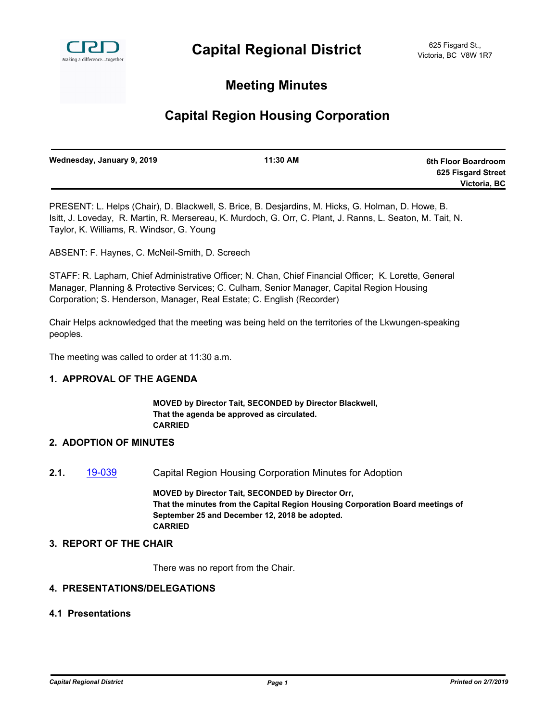

## **Meeting Minutes**

# **Capital Region Housing Corporation**

| Wednesday, January 9, 2019 | 11:30 AM | 6th Floor Boardroom |
|----------------------------|----------|---------------------|
|                            |          | 625 Fisgard Street  |
|                            |          | Victoria, BC        |

PRESENT: L. Helps (Chair), D. Blackwell, S. Brice, B. Desjardins, M. Hicks, G. Holman, D. Howe, B. Isitt, J. Loveday, R. Martin, R. Mersereau, K. Murdoch, G. Orr, C. Plant, J. Ranns, L. Seaton, M. Tait, N. Taylor, K. Williams, R. Windsor, G. Young

ABSENT: F. Haynes, C. McNeil-Smith, D. Screech

STAFF: R. Lapham, Chief Administrative Officer; N. Chan, Chief Financial Officer; K. Lorette, General Manager, Planning & Protective Services; C. Culham, Senior Manager, Capital Region Housing Corporation; S. Henderson, Manager, Real Estate; C. English (Recorder)

Chair Helps acknowledged that the meeting was being held on the territories of the Lkwungen-speaking peoples.

The meeting was called to order at 11:30 a.m.

## **1. APPROVAL OF THE AGENDA**

**MOVED by Director Tait, SECONDED by Director Blackwell, That the agenda be approved as circulated. CARRIED**

#### **2. ADOPTION OF MINUTES**

**2.1.** [19-039](http://crd.ca.legistar.com/gateway.aspx?m=l&id=/matter.aspx?key=5127) Capital Region Housing Corporation Minutes for Adoption

**MOVED by Director Tait, SECONDED by Director Orr, That the minutes from the Capital Region Housing Corporation Board meetings of September 25 and December 12, 2018 be adopted. CARRIED**

## **3. REPORT OF THE CHAIR**

There was no report from the Chair.

## **4. PRESENTATIONS/DELEGATIONS**

#### **4.1 Presentations**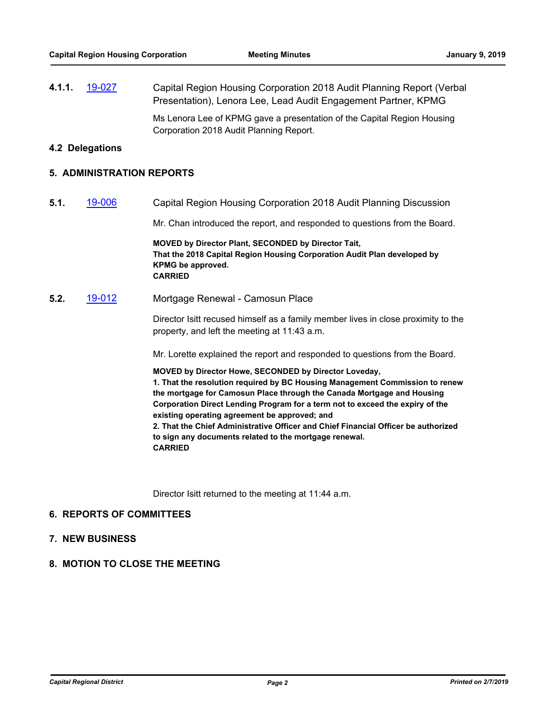**4.1.1.** [19-027](http://crd.ca.legistar.com/gateway.aspx?m=l&id=/matter.aspx?key=5115) Capital Region Housing Corporation 2018 Audit Planning Report (Verbal Presentation), Lenora Lee, Lead Audit Engagement Partner, KPMG Ms Lenora Lee of KPMG gave a presentation of the Capital Region Housing

Corporation 2018 Audit Planning Report.

#### **4.2 Delegations**

#### **5. ADMINISTRATION REPORTS**

**5.1.** [19-006](http://crd.ca.legistar.com/gateway.aspx?m=l&id=/matter.aspx?key=5094) Capital Region Housing Corporation 2018 Audit Planning Discussion

Mr. Chan introduced the report, and responded to questions from the Board.

**MOVED by Director Plant, SECONDED by Director Tait, That the 2018 Capital Region Housing Corporation Audit Plan developed by KPMG be approved. CARRIED**

**5.2.** [19-012](http://crd.ca.legistar.com/gateway.aspx?m=l&id=/matter.aspx?key=5100) Mortgage Renewal - Camosun Place

Director Isitt recused himself as a family member lives in close proximity to the property, and left the meeting at 11:43 a.m.

Mr. Lorette explained the report and responded to questions from the Board.

**MOVED by Director Howe, SECONDED by Director Loveday,**

**1. That the resolution required by BC Housing Management Commission to renew the mortgage for Camosun Place through the Canada Mortgage and Housing Corporation Direct Lending Program for a term not to exceed the expiry of the existing operating agreement be approved; and**

**2. That the Chief Administrative Officer and Chief Financial Officer be authorized to sign any documents related to the mortgage renewal. CARRIED**

Director Isitt returned to the meeting at 11:44 a.m.

#### **6. REPORTS OF COMMITTEES**

- **7. NEW BUSINESS**
- **8. MOTION TO CLOSE THE MEETING**